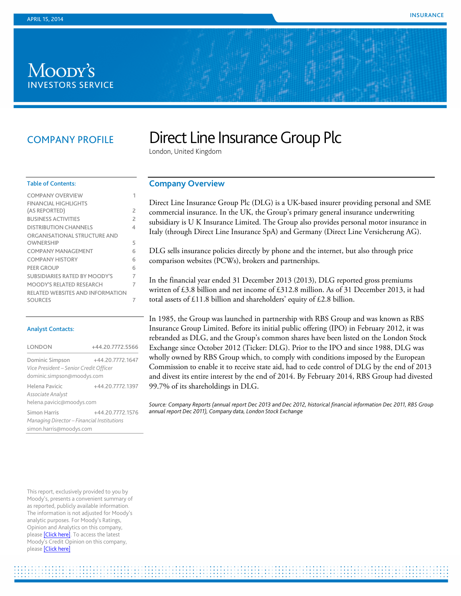# Moody's **INVESTORS SERVICE**

## COMPANY PROFILE

# Direct Line Insurance Group Plc

London, United Kingdom

#### Table of Contents:

| <b>COMPANY OVERVIEW</b>                 | 1              |
|-----------------------------------------|----------------|
| FINANCIAL HIGHLIGHTS                    |                |
| (AS REPORTED)                           | 2              |
| <b>BUSINESS ACTIVITIES</b>              | $\overline{c}$ |
| <b>DISTRIBUTION CHANNELS</b>            | 4              |
| ORGANISATIONAL STRUCTURE AND            |                |
| OWNERSHIP                               | 5              |
| COMPANY MANAGEMENT                      | 6              |
| <b>COMPANY HISTORY</b>                  | 6              |
| <b>PEER GROUP</b>                       | 6              |
| SUBSIDIARIES RATED BY MOODY'S           | 7              |
| MOODY'S RELATED RESEARCH                | 7              |
| <b>RELATED WEBSITES AND INFORMATION</b> |                |
| <b>SOURCES</b>                          | 7              |

#### Analyst Contacts:

| <b>LONDON</b>                              | +44.20.7772.5566 |  |
|--------------------------------------------|------------------|--|
| Dominic Simpson                            | +44.20.7772.1647 |  |
| Vice President - Senior Credit Officer     |                  |  |
| dominic.simpson@moodys.com                 |                  |  |
| Helena Pavicic<br>Associate Analyst        | +44.20.7772.1397 |  |
| helena.pavicic@moodys.com                  |                  |  |
| Simon Harris                               | +44.20.7772.1576 |  |
| Managing Director - Financial Institutions |                  |  |
| simon.harris@moodys.com                    |                  |  |

This report, exclusively provided to you by Moody's, presents a convenient summary of as reported, publicly available information. The information is not adjusted for Moody's analytic purposes. For Moody's Ratings, Opinion and Analytics on this company, pleas[e \[Click here\].](https://www.moodys.com/credit-ratings/Direct-Line-Insurance-Group-plc-credit-rating-823134660) To access the latest Moody's Credit Opinion on this company, pleas[e \[Click here\]](https://www.moodys.com/research/Direct-Line-Insurance-Group-plc-Credit-Opinion--COP_823134660)

#### <span id="page-0-0"></span>**Company Overview**

Direct Line Insurance Group Plc (DLG) is a UK-based insurer providing personal and SME commercial insurance. In the UK, the Group's primary general insurance underwriting subsidiary is U K Insurance Limited. The Group also provides personal motor insurance in Italy (through Direct Line Insurance SpA) and Germany (Direct Line Versicherung AG).

DLG sells insurance policies directly by phone and the internet, but also through price comparison websites (PCWs), brokers and partnerships.

In the financial year ended 31 December 2013 (2013), DLG reported gross premiums written of £3.8 billion and net income of £312.8 million. As of 31 December 2013, it had total assets of £11.8 billion and shareholders' equity of £2.8 billion.

In 1985, the Group was launched in partnership with RBS Group and was known as RBS Insurance Group Limited. Before its initial public offering (IPO) in February 2012, it was rebranded as DLG, and the Group's common shares have been listed on the London Stock Exchange since October 2012 (Ticker: DLG). Prior to the IPO and since 1988, DLG was wholly owned by RBS Group which, to comply with conditions imposed by the European Commission to enable it to receive state aid, had to cede control of DLG by the end of 2013 and divest its entire interest by the end of 2014. By February 2014, RBS Group had divested 99.7% of its shareholdings in DLG.

Source: Company Reports (annual report Dec 2013 and Dec 2012, historical financial information Dec 2011, RBS Group *annual report Dec 2011), Company data, London Stock Exchange*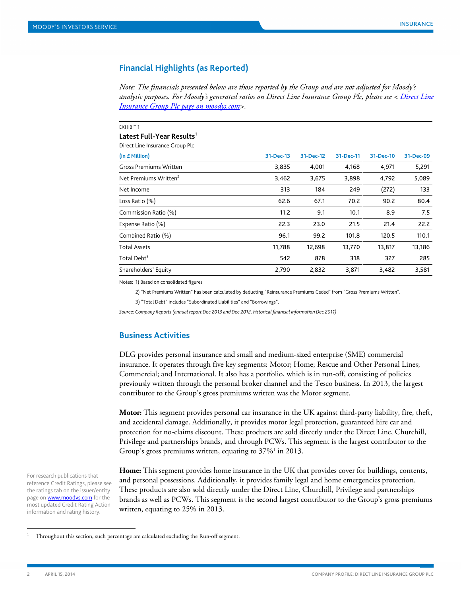#### <span id="page-1-0"></span>**Financial Highlights (as Reported)**

*Note: The financials presented below are those reported by the Group and are not adjusted for Moody's analytic purposes. For Moody's generated ratios on Direct Line Insurance Group Plc, please see < [Direct Line](https://www.moodys.com/credit-ratings/Direct-Line-Insurance-Group-plc-credit-rating-823134660)  Insurance Group Plc [page on moodys.com>](https://www.moodys.com/credit-ratings/Direct-Line-Insurance-Group-plc-credit-rating-823134660).*

| <b>EXHIBIT 1</b>                      |           |           |           |           |           |
|---------------------------------------|-----------|-----------|-----------|-----------|-----------|
| Latest Full-Year Results <sup>1</sup> |           |           |           |           |           |
| Direct Line Insurance Group Plc       |           |           |           |           |           |
| (in £ Million)                        | 31-Dec-13 | 31-Dec-12 | 31-Dec-11 | 31-Dec-10 | 31-Dec-09 |
| <b>Gross Premiums Written</b>         | 3,835     | 4,001     | 4,168     | 4,971     | 5,291     |
| Net Premiums Written <sup>2</sup>     | 3,462     | 3,675     | 3,898     | 4,792     | 5,089     |
| Net Income                            | 313       | 184       | 249       | (272)     | 133       |
| Loss Ratio (%)                        | 62.6      | 67.1      | 70.2      | 90.2      | 80.4      |
| Commission Ratio (%)                  | 11.2      | 9.1       | 10.1      | 8.9       | 7.5       |
| Expense Ratio (%)                     | 22.3      | 23.0      | 21.5      | 21.4      | 22.2      |
| Combined Ratio (%)                    | 96.1      | 99.2      | 101.8     | 120.5     | 110.1     |
| <b>Total Assets</b>                   | 11,788    | 12,698    | 13,770    | 13,817    | 13,186    |
| Total Debt <sup>3</sup>               | 542       | 878       | 318       | 327       | 285       |
| Shareholders' Equity                  | 2,790     | 2,832     | 3,871     | 3,482     | 3,581     |

Notes: 1) Based on consolidated figures

2) "Net Premiums Written" has been calculated by deducting "Reinsurance Premiums Ceded" from "Gross Premiums Written".

3) "Total Debt" includes "Subordinated Liabilities" and "Borrowings".

<span id="page-1-1"></span>*Source: Company Reports (annual report Dec 2013 and Dec 2012, historical financial information Dec 2011)*

#### **Business Activities**

DLG provides personal insurance and small and medium-sized enterprise (SME) commercial insurance. It operates through five key segments: Motor; Home; Rescue and Other Personal Lines; Commercial; and International. It also has a portfolio, which is in run-off, consisting of policies previously written through the personal broker channel and the Tesco business. In 2013, the largest contributor to the Group's gross premiums written was the Motor segment.

**Motor:** This segment provides personal car insurance in the UK against third-party liability, fire, theft, and accidental damage. Additionally, it provides motor legal protection, guaranteed hire car and protection for no-claims discount. These products are sold directly under the Direct Line, Churchill, Privilege and partnerships brands, and through PCWs. This segment is the largest contributor to the Group's gross premiums written, equating to  $37\%$ <sup>1</sup> in 2013.

**Home:** This segment provides home insurance in the UK that provides cover for buildings, contents, and personal possessions. Additionally, it provides family legal and home emergencies protection. These products are also sold directly under the Direct Line, Churchill, Privilege and partnerships brands as well as PCWs. This segment is the second largest contributor to the Group's gross premiums written, equating to 25% in 2013.

For research publications that reference Credit Ratings, please see the ratings tab on the issuer/entity page on **www.moodys.com** for the most updated Credit Rating Action information and rating history.

 <sup>1</sup> Throughout this section, such percentage are calculated excluding the Run-off segment.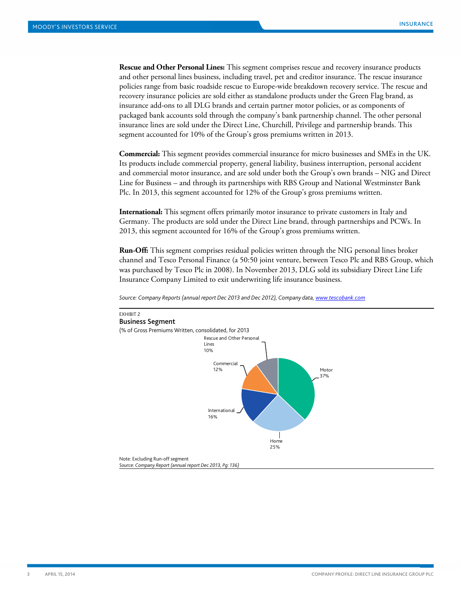**Rescue and Other Personal Lines:** This segment comprises rescue and recovery insurance products and other personal lines business, including travel, pet and creditor insurance. The rescue insurance policies range from basic roadside rescue to Europe-wide breakdown recovery service. The rescue and recovery insurance policies are sold either as standalone products under the Green Flag brand, as insurance add-ons to all DLG brands and certain partner motor policies, or as components of packaged bank accounts sold through the company's bank partnership channel. The other personal insurance lines are sold under the Direct Line, Churchill, Privilege and partnership brands. This segment accounted for 10% of the Group's gross premiums written in 2013.

**Commercial:** This segment provides commercial insurance for micro businesses and SMEs in the UK. Its products include commercial property, general liability, business interruption, personal accident and commercial motor insurance, and are sold under both the Group's own brands – NIG and Direct Line for Business – and through its partnerships with RBS Group and National Westminster Bank Plc. In 2013, this segment accounted for 12% of the Group's gross premiums written.

**International:** This segment offers primarily motor insurance to private customers in Italy and Germany. The products are sold under the Direct Line brand, through partnerships and PCWs. In 2013, this segment accounted for 16% of the Group's gross premiums written.

**Run-Off:** This segment comprises residual policies written through the NIG personal lines broker channel and Tesco Personal Finance (a 50:50 joint venture, between Tesco Plc and RBS Group, which was purchased by Tesco Plc in 2008). In November 2013, DLG sold its subsidiary Direct Line Life Insurance Company Limited to exit underwriting life insurance business.



*Source: Company Reports (annual report Dec 2013 and Dec 2012), Company data[, www.tescobank.com](http://www.tescobank.com/)*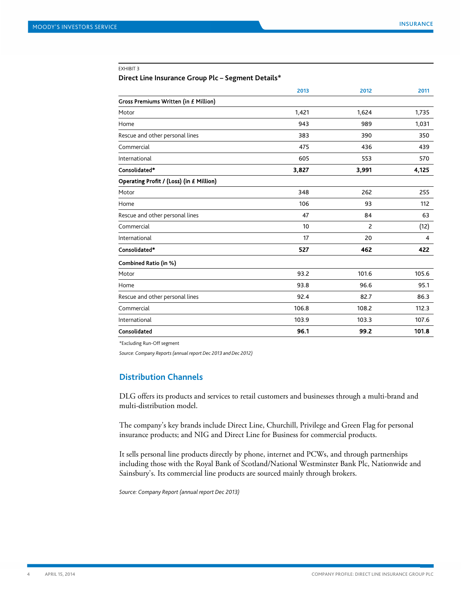#### EXHIBIT 3

#### **Direct Line Insurance Group Plc – Segment Details\***

|                                          | 2013  | 2012  | 2011  |
|------------------------------------------|-------|-------|-------|
| Gross Premiums Written (in £ Million)    |       |       |       |
| Motor                                    | 1,421 | 1,624 | 1,735 |
| Home                                     | 943   | 989   | 1,031 |
| Rescue and other personal lines          | 383   | 390   | 350   |
| Commercial                               | 475   | 436   | 439   |
| International                            | 605   | 553   | 570   |
| Consolidated*                            | 3,827 | 3,991 | 4,125 |
| Operating Profit / (Loss) (in £ Million) |       |       |       |
| Motor                                    | 348   | 262   | 255   |
| Home                                     | 106   | 93    | 112   |
| Rescue and other personal lines          | 47    | 84    | 63    |
| Commercial                               | 10    | 2     | (12)  |
| International                            | 17    | 20    | 4     |
| Consolidated*                            | 527   | 462   | 422   |
| Combined Ratio (in %)                    |       |       |       |
| Motor                                    | 93.2  | 101.6 | 105.6 |
| Home                                     | 93.8  | 96.6  | 95.1  |
| Rescue and other personal lines          | 92.4  | 82.7  | 86.3  |
| Commercial                               | 106.8 | 108.2 | 112.3 |
| International                            | 103.9 | 103.3 | 107.6 |
| Consolidated                             | 96.1  | 99.2  | 101.8 |

\*Excluding Run-Off segment

<span id="page-3-0"></span>*Source: Company Reports (annual report Dec 2013 and Dec 2012)*

#### **Distribution Channels**

DLG offers its products and services to retail customers and businesses through a multi-brand and multi-distribution model.

The company's key brands include Direct Line, Churchill, Privilege and Green Flag for personal insurance products; and NIG and Direct Line for Business for commercial products.

It sells personal line products directly by phone, internet and PCWs, and through partnerships including those with the Royal Bank of Scotland/National Westminster Bank Plc, Nationwide and Sainsbury's. Its commercial line products are sourced mainly through brokers.

*Source: Company Report (annual report Dec 2013)*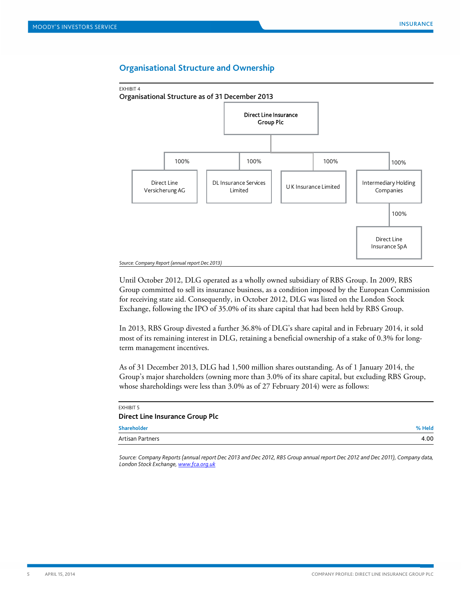#### **Organisational Structure and Ownership**

<span id="page-4-0"></span>

Until October 2012, DLG operated as a wholly owned subsidiary of RBS Group. In 2009, RBS Group committed to sell its insurance business, as a condition imposed by the European Commission for receiving state aid. Consequently, in October 2012, DLG was listed on the London Stock Exchange, following the IPO of 35.0% of its share capital that had been held by RBS Group.

In 2013, RBS Group divested a further 36.8% of DLG's share capital and in February 2014, it sold most of its remaining interest in DLG, retaining a beneficial ownership of a stake of 0.3% for longterm management incentives.

As of 31 December 2013, DLG had 1,500 million shares outstanding. As of 1 January 2014, the Group's major shareholders (owning more than 3.0% of its share capital, but excluding RBS Group, whose shareholdings were less than 3.0% as of 27 February 2014) were as follows:

| EXHIBIT 5                              |        |
|----------------------------------------|--------|
| <b>Direct Line Insurance Group Plc</b> |        |
| <b>Shareholder</b>                     | % Held |
| Artisan Partners                       | 4.00   |
|                                        |        |

<span id="page-4-1"></span>*Source: Company Reports (annual report Dec 2013 and Dec 2012, RBS Group annual report Dec 2012 and Dec 2011), Company data, London Stock Exchange[, www.fca.org.uk](http://www.fca.org.uk/)*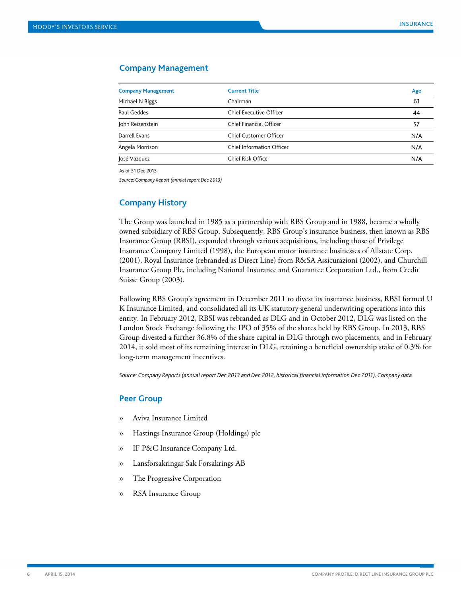#### **Company Management**

| <b>Company Management</b> | <b>Current Title</b>             | Age |
|---------------------------|----------------------------------|-----|
| Michael N Biggs           | Chairman                         | 61  |
| Paul Geddes               | Chief Executive Officer          | 44  |
| John Reizenstein          | Chief Financial Officer          | 57  |
| Darrell Evans             | Chief Customer Officer           | N/A |
| Angela Morrison           | <b>Chief Information Officer</b> | N/A |
| José Vazquez              | Chief Risk Officer               | N/A |

As of 31 Dec 2013

<span id="page-5-0"></span>*Source: Company Report (annual report Dec 2013)*

#### **Company History**

The Group was launched in 1985 as a partnership with RBS Group and in 1988, became a wholly owned subsidiary of RBS Group. Subsequently, RBS Group's insurance business, then known as RBS Insurance Group (RBSI), expanded through various acquisitions, including those of Privilege Insurance Company Limited (1998), the European motor insurance businesses of Allstate Corp. (2001), Royal Insurance (rebranded as Direct Line) from R&SA Assicurazioni (2002), and Churchill Insurance Group Plc, including National Insurance and Guarantee Corporation Ltd., from Credit Suisse Group (2003).

Following RBS Group's agreement in December 2011 to divest its insurance business, RBSI formed U K Insurance Limited, and consolidated all its UK statutory general underwriting operations into this entity. In February 2012, RBSI was rebranded as DLG and in October 2012, DLG was listed on the London Stock Exchange following the IPO of 35% of the shares held by RBS Group. In 2013, RBS Group divested a further 36.8% of the share capital in DLG through two placements, and in February 2014, it sold most of its remaining interest in DLG, retaining a beneficial ownership stake of 0.3% for long-term management incentives.

<span id="page-5-1"></span>*Source: Company Reports (annual report Dec 2013 and Dec 2012, historical financial information Dec 2011), Company data*

#### **Peer Group**

- » Aviva Insurance Limited
- » Hastings Insurance Group (Holdings) plc
- » IF P&C Insurance Company Ltd.
- » Lansforsakringar Sak Forsakrings AB
- » The Progressive Corporation
- » RSA Insurance Group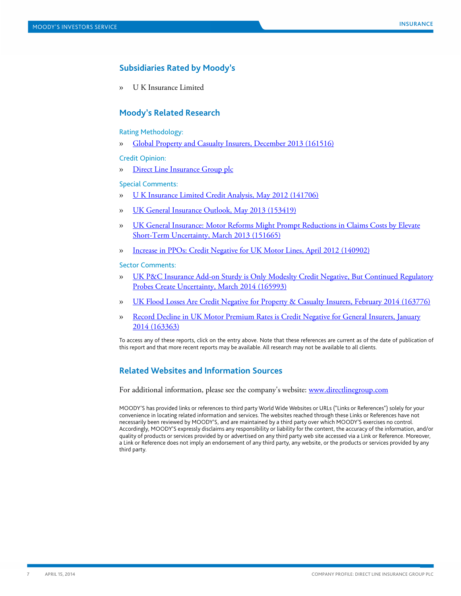### <span id="page-6-0"></span>**Subsidiaries Rated by Moody's**

<span id="page-6-1"></span>» U K Insurance Limited

#### **Moody's Related Research**

#### Rating Methodology:

» [Global Property and Casualty Insurers, December 2013 \(161516\)](http://www.moodys.com/viewresearchdoc.aspx?docid=PBC_161516)

#### Credit Opinion:

» [Direct Line Insurance Group plc](https://www.moodys.com/research/Direct-Line-Insurance-Group-plc-Credit-Opinion--COP_823134660)

#### Special Comments:

- » [U K Insurance Limited Credit Analysis, May 2012 \(141706\)](http://www.moodys.com/viewresearchdoc.aspx?docid=PBC_141706)
- » [UK General Insurance Outlook, May 2013 \(153419\)](http://www.moodys.com/viewresearchdoc.aspx?docid=PBC_153419)
- » [UK General Insurance: Motor Reforms Might Prompt Reductions in Claims Costs by Elevate](http://www.moodys.com/viewresearchdoc.aspx?docid=PBC_151665)  [Short-Term Uncertainty, March 2013 \(151665\)](http://www.moodys.com/viewresearchdoc.aspx?docid=PBC_151665)
- » [Increase in PPOs: Credit Negative for UK Motor Lines, April 2012 \(140902\)](http://www.moodys.com/viewresearchdoc.aspx?docid=PBC_140902)

#### Sector Comments:

- » [UK P&C Insurance Add-on Sturdy is Only Modeslty Credit Negative, But Continued Regulatory](http://www.moodys.com/viewresearchdoc.aspx?docid=PBC_165993)  [Probes Create Uncertainty, March 2014 \(165993\)](http://www.moodys.com/viewresearchdoc.aspx?docid=PBC_165993)
- » [UK Flood Losses Are Credit Negative for Property &](http://www.moodys.com/viewresearchdoc.aspx?docid=PBC_163776) Casualty Insurers, February 2014 (163776)
- » [Record Decline in UK Motor Premium Rates is Credit Negative for General Insurers, January](http://www.moodys.com/viewresearchdoc.aspx?docid=PBC_163363)  [2014 \(163363\)](http://www.moodys.com/viewresearchdoc.aspx?docid=PBC_163363)

<span id="page-6-2"></span>To access any of these reports, click on the entry above. Note that these references are current as of the date of publication of this report and that more recent reports may be available. All research may not be available to all clients.

#### **Related Websites and Information Sources**

For additional information, please see the company's website: [www.directlinegroup.com](http://www.directlinegroup.com/)

MOODY'S has provided links or references to third party World Wide Websites or URLs ("Links or References") solely for your convenience in locating related information and services. The websites reached through these Links or References have not necessarily been reviewed by MOODY'S, and are maintained by a third party over which MOODY'S exercises no control. Accordingly, MOODY'S expressly disclaims any responsibility or liability for the content, the accuracy of the information, and/or quality of products or services provided by or advertised on any third party web site accessed via a Link or Reference. Moreover, a Link or Reference does not imply an endorsement of any third party, any website, or the products or services provided by any third party.